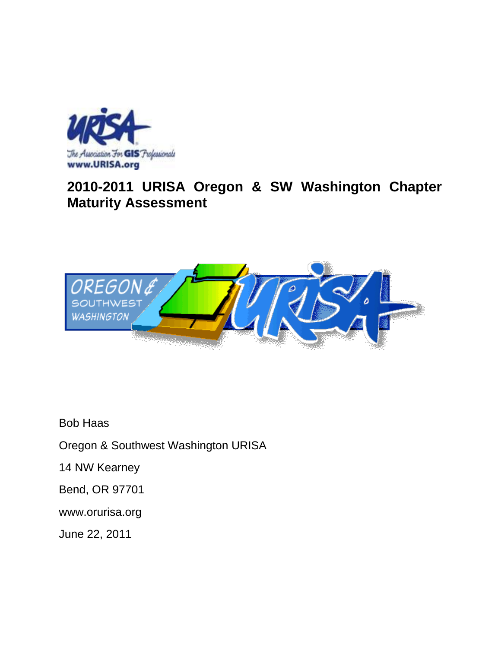

# **2010-2011 URISA Oregon & SW Washington Chapter Maturity Assessment**



Bob Haas

Oregon & Southwest Washington URISA

14 NW Kearney

Bend, OR 97701

www.orurisa.org

June 22, 2011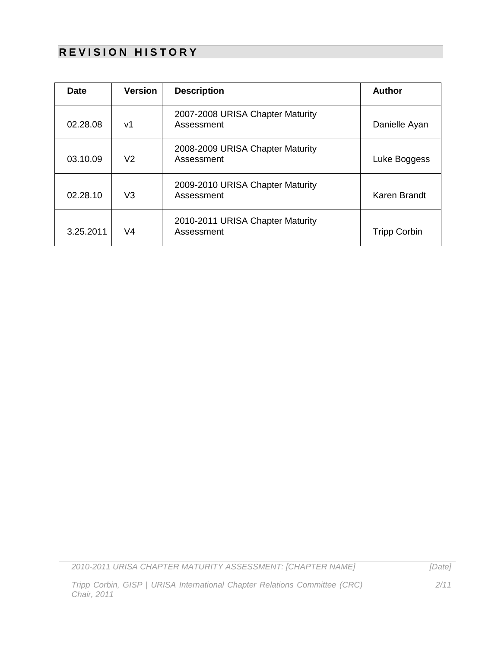## **REVISION HISTORY**

| <b>Date</b> | <b>Version</b> | <b>Description</b>                             | <b>Author</b>       |
|-------------|----------------|------------------------------------------------|---------------------|
| 02.28.08    | v1             | 2007-2008 URISA Chapter Maturity<br>Assessment | Danielle Ayan       |
| 03.10.09    | V2             | 2008-2009 URISA Chapter Maturity<br>Assessment | Luke Boggess        |
| 02.28.10    | V3             | 2009-2010 URISA Chapter Maturity<br>Assessment | Karen Brandt        |
| 3.25.2011   | V4             | 2010-2011 URISA Chapter Maturity<br>Assessment | <b>Tripp Corbin</b> |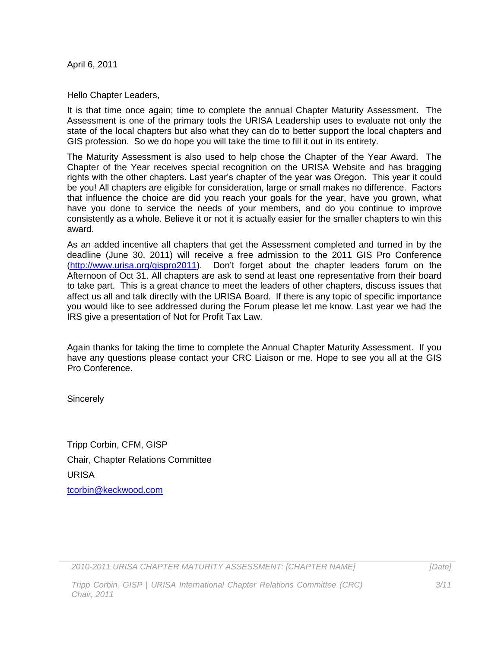April 6, 2011

Hello Chapter Leaders,

It is that time once again; time to complete the annual Chapter Maturity Assessment. The Assessment is one of the primary tools the URISA Leadership uses to evaluate not only the state of the local chapters but also what they can do to better support the local chapters and GIS profession. So we do hope you will take the time to fill it out in its entirety.

The Maturity Assessment is also used to help chose the Chapter of the Year Award. The Chapter of the Year receives special recognition on the URISA Website and has bragging rights with the other chapters. Last year's chapter of the year was Oregon. This year it could be you! All chapters are eligible for consideration, large or small makes no difference. Factors that influence the choice are did you reach your goals for the year, have you grown, what have you done to service the needs of your members, and do you continue to improve consistently as a whole. Believe it or not it is actually easier for the smaller chapters to win this award.

As an added incentive all chapters that get the Assessment completed and turned in by the deadline (June 30, 2011) will receive a free admission to the 2011 GIS Pro Conference [\(http://www.urisa.org/gispro2011\)](http://www.urisa.org/gispro2011). Don't forget about the chapter leaders forum on the Afternoon of Oct 31. All chapters are ask to send at least one representative from their board to take part. This is a great chance to meet the leaders of other chapters, discuss issues that affect us all and talk directly with the URISA Board. If there is any topic of specific importance you would like to see addressed during the Forum please let me know. Last year we had the IRS give a presentation of Not for Profit Tax Law.

Again thanks for taking the time to complete the Annual Chapter Maturity Assessment. If you have any questions please contact your CRC Liaison or me. Hope to see you all at the GIS Pro Conference.

**Sincerely** 

Tripp Corbin, CFM, GISP Chair, Chapter Relations Committee URISA [tcorbin@keckwood.com](mailto:tcorbin@keckwood.com)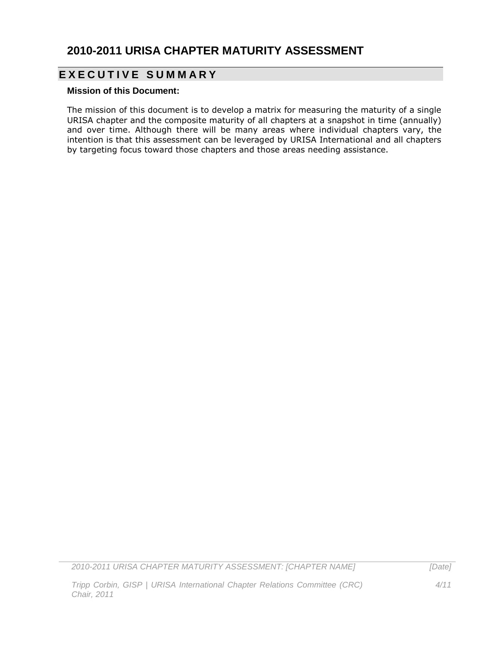### **2010-2011 URISA CHAPTER MATURITY ASSESSMENT**

### **E X E C U T I V E S U M M A R Y**

#### **Mission of this Document:**

The mission of this document is to develop a matrix for measuring the maturity of a single URISA chapter and the composite maturity of all chapters at a snapshot in time (annually) and over time. Although there will be many areas where individual chapters vary, the intention is that this assessment can be leveraged by URISA International and all chapters by targeting focus toward those chapters and those areas needing assistance.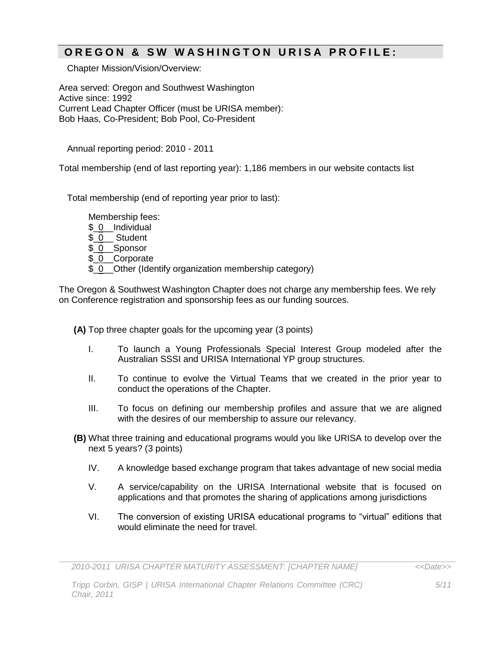#### **O R E G O N & S W W A S H I N G T O N U R I S A P R O F I L E :**

Chapter Mission/Vision/Overview:

Area served: Oregon and Southwest Washington Active since: 1992 Current Lead Chapter Officer (must be URISA member): Bob Haas, Co-President; Bob Pool, Co-President

Annual reporting period: 2010 - 2011

Total membership (end of last reporting year): 1,186 members in our website contacts list

Total membership (end of reporting year prior to last):

Membership fees:

- \$ 0 Individual
- \$\_0\_\_ Student
- \$ 0 Sponsor
- \$ 0 Corporate
- \$ 0 Other (Identify organization membership category)

The Oregon & Southwest Washington Chapter does not charge any membership fees. We rely on Conference registration and sponsorship fees as our funding sources.

**(A)** Top three chapter goals for the upcoming year (3 points)

- I. To launch a Young Professionals Special Interest Group modeled after the Australian SSSI and URISA International YP group structures.
- II. To continue to evolve the Virtual Teams that we created in the prior year to conduct the operations of the Chapter.
- III. To focus on defining our membership profiles and assure that we are aligned with the desires of our membership to assure our relevancy.
- **(B)** What three training and educational programs would you like URISA to develop over the next 5 years? (3 points)
	- IV. A knowledge based exchange program that takes advantage of new social media
	- V. A service/capability on the URISA International website that is focused on applications and that promotes the sharing of applications among jurisdictions
	- VI. The conversion of existing URISA educational programs to "virtual" editions that would eliminate the need for travel.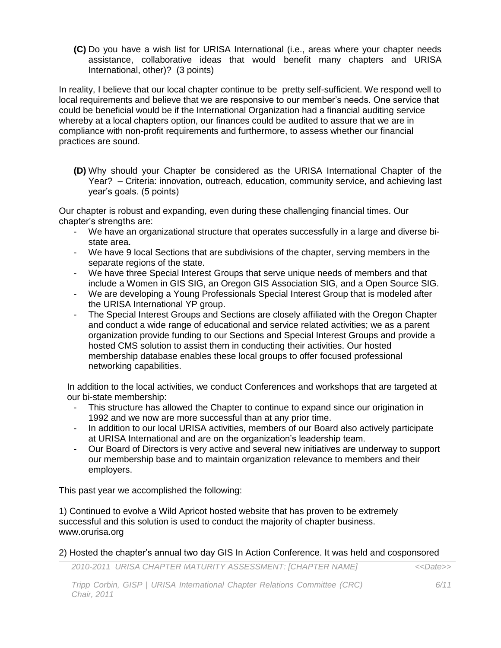**(C)** Do you have a wish list for URISA International (i.e., areas where your chapter needs assistance, collaborative ideas that would benefit many chapters and URISA International, other)? (3 points)

In reality, I believe that our local chapter continue to be pretty self-sufficient. We respond well to local requirements and believe that we are responsive to our member's needs. One service that could be beneficial would be if the International Organization had a financial auditing service whereby at a local chapters option, our finances could be audited to assure that we are in compliance with non-profit requirements and furthermore, to assess whether our financial practices are sound.

**(D)** Why should your Chapter be considered as the URISA International Chapter of the Year? – Criteria: innovation, outreach, education, community service, and achieving last year's goals. (5 points)

Our chapter is robust and expanding, even during these challenging financial times. Our chapter's strengths are:

- We have an organizational structure that operates successfully in a large and diverse bistate area.
- We have 9 local Sections that are subdivisions of the chapter, serving members in the separate regions of the state.
- We have three Special Interest Groups that serve unique needs of members and that include a Women in GIS SIG, an Oregon GIS Association SIG, and a Open Source SIG.
- We are developing a Young Professionals Special Interest Group that is modeled after the URISA International YP group.
- The Special Interest Groups and Sections are closely affiliated with the Oregon Chapter and conduct a wide range of educational and service related activities; we as a parent organization provide funding to our Sections and Special Interest Groups and provide a hosted CMS solution to assist them in conducting their activities. Our hosted membership database enables these local groups to offer focused professional networking capabilities.

In addition to the local activities, we conduct Conferences and workshops that are targeted at our bi-state membership:

- This structure has allowed the Chapter to continue to expand since our origination in 1992 and we now are more successful than at any prior time.
- In addition to our local URISA activities, members of our Board also actively participate at URISA International and are on the organization's leadership team.
- Our Board of Directors is very active and several new initiatives are underway to support our membership base and to maintain organization relevance to members and their employers.

This past year we accomplished the following:

1) Continued to evolve a Wild Apricot hosted website that has proven to be extremely successful and this solution is used to conduct the majority of chapter business. www.orurisa.org

#### 2) Hosted the chapter's annual two day GIS In Action Conference. It was held and cosponsored

*2010-2011 URISA CHAPTER MATURITY ASSESSMENT: [CHAPTER NAME] <<Date>>*

*Tripp Corbin, GISP | URISA International Chapter Relations Committee (CRC) Chair, 2011*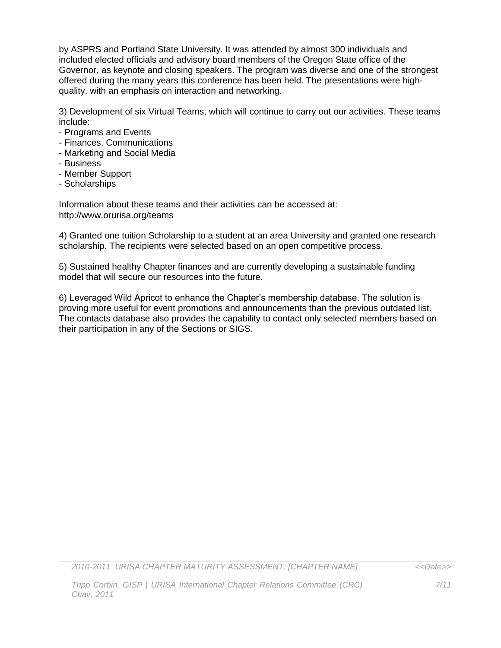by ASPRS and Portland State University. It was attended by almost 300 individuals and included elected officials and advisory board members of the Oregon State office of the Governor, as keynote and closing speakers. The program was diverse and one of the strongest offered during the many years this conference has been held. The presentations were highquality, with an emphasis on interaction and networking.

3) Development of six Virtual Teams, which will continue to carry out our activities. These teams include:

- Programs and Events
- Finances, Communications
- Marketing and Social Media
- Business
- Member Support
- Scholarships

Information about these teams and their activities can be accessed at: http://www.orurisa.org/teams

4) Granted one tuition Scholarship to a student at an area University and granted one research scholarship. The recipients were selected based on an open competitive process.

5) Sustained healthy Chapter finances and are currently developing a sustainable funding model that will secure our resources into the future.

6) Leveraged Wild Apricot to enhance the Chapter's membership database. The solution is proving more useful for event promotions and announcements than the previous outdated list. The contacts database also provides the capability to contact only selected members based on their participation in any of the Sections or SIGS.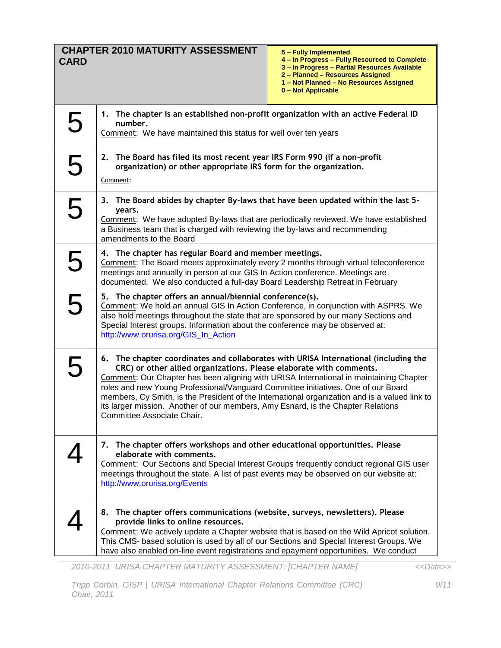| <b>CARD</b> | <b>CHAPTER 2010 MATURITY ASSESSMENT</b>                                                                                                                                                                                                                                                                                                                                                                                                                                                                                                                             | 5 - Fully Implemented<br>4 - In Progress - Fully Resourced to Complete<br>3 - In Progress - Partial Resources Available<br>2 - Planned - Resources Assigned<br>1 - Not Planned - No Resources Assigned<br>0 - Not Applicable |
|-------------|---------------------------------------------------------------------------------------------------------------------------------------------------------------------------------------------------------------------------------------------------------------------------------------------------------------------------------------------------------------------------------------------------------------------------------------------------------------------------------------------------------------------------------------------------------------------|------------------------------------------------------------------------------------------------------------------------------------------------------------------------------------------------------------------------------|
| 5           | 1. The chapter is an established non-profit organization with an active Federal ID<br>number.<br>Comment: We have maintained this status for well over ten years                                                                                                                                                                                                                                                                                                                                                                                                    |                                                                                                                                                                                                                              |
| 5           | 2. The Board has filed its most recent year IRS Form 990 (if a non-profit<br>organization) or other appropriate IRS form for the organization.<br>Comment:                                                                                                                                                                                                                                                                                                                                                                                                          |                                                                                                                                                                                                                              |
| 5           | 3. The Board abides by chapter By-laws that have been updated within the last 5-<br>years.<br>Comment: We have adopted By-laws that are periodically reviewed. We have established<br>a Business team that is charged with reviewing the by-laws and recommending<br>amendments to the Board                                                                                                                                                                                                                                                                        |                                                                                                                                                                                                                              |
| 5           | 4. The chapter has regular Board and member meetings.<br>Comment: The Board meets approximately every 2 months through virtual teleconference<br>meetings and annually in person at our GIS In Action conference. Meetings are<br>documented. We also conducted a full-day Board Leadership Retreat in February                                                                                                                                                                                                                                                     |                                                                                                                                                                                                                              |
| 5           | 5. The chapter offers an annual/biennial conference(s).<br>Comment: We hold an annual GIS In Action Conference, in conjunction with ASPRS. We<br>also hold meetings throughout the state that are sponsored by our many Sections and<br>Special Interest groups. Information about the conference may be observed at:<br>http://www.orurisa.org/GIS_In_Action                                                                                                                                                                                                       |                                                                                                                                                                                                                              |
| 5           | 6. The chapter coordinates and collaborates with URISA International (including the<br>CRC) or other allied organizations. Please elaborate with comments.<br><b>Comment:</b> Our Chapter has been aligning with URISA International in maintaining Chapter<br>roles and new Young Professional/Vanguard Committee initiatives. One of our Board<br>members, Cy Smith, is the President of the International organization and is a valued link to<br>its larger mission. Another of our members, Amy Esnard, is the Chapter Relations<br>Committee Associate Chair. |                                                                                                                                                                                                                              |
|             | 7. The chapter offers workshops and other educational opportunities. Please<br>elaborate with comments.<br>Comment: Our Sections and Special Interest Groups frequently conduct regional GIS user<br>meetings throughout the state. A list of past events may be observed on our website at:<br>http://www.orurisa.org/Events                                                                                                                                                                                                                                       |                                                                                                                                                                                                                              |
|             | 8. The chapter offers communications (website, surveys, newsletters). Please<br>provide links to online resources.<br>Comment: We actively update a Chapter website that is based on the Wild Apricot solution.<br>This CMS- based solution is used by all of our Sections and Special Interest Groups. We<br>have also enabled on-line event registrations and epayment opportunities. We conduct                                                                                                                                                                  |                                                                                                                                                                                                                              |

*<<Date>>*

*Tripp Corbin, GISP | URISA International Chapter Relations Committee (CRC) Chair, 2011*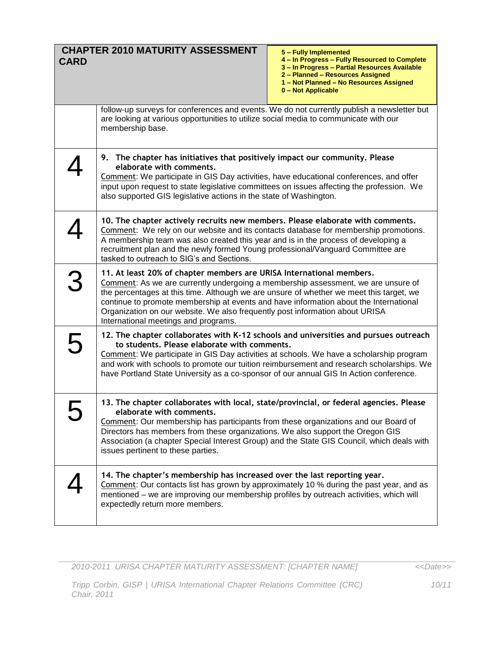| <b>CARD</b> | <b>CHAPTER 2010 MATURITY ASSESSMENT</b><br>5 - Fully Implemented<br>4 - In Progress - Fully Resourced to Complete<br>3 - In Progress - Partial Resources Available<br>2 - Planned - Resources Assigned<br>1 - Not Planned - No Resources Assigned<br>0 - Not Applicable                                                                                                                                                                                               |
|-------------|-----------------------------------------------------------------------------------------------------------------------------------------------------------------------------------------------------------------------------------------------------------------------------------------------------------------------------------------------------------------------------------------------------------------------------------------------------------------------|
|             | follow-up surveys for conferences and events. We do not currently publish a newsletter but<br>are looking at various opportunities to utilize social media to communicate with our<br>membership base.                                                                                                                                                                                                                                                                |
|             | 9. The chapter has initiatives that positively impact our community. Please<br>elaborate with comments.<br>Comment: We participate in GIS Day activities, have educational conferences, and offer<br>input upon request to state legislative committees on issues affecting the profession. We<br>also supported GIS legislative actions in the state of Washington.                                                                                                  |
|             | 10. The chapter actively recruits new members. Please elaborate with comments.<br>Comment: We rely on our website and its contacts database for membership promotions.<br>A membership team was also created this year and is in the process of developing a<br>recruitment plan and the newly formed Young professional/Vanguard Committee are<br>tasked to outreach to SIG's and Sections.                                                                          |
| 3           | 11. At least 20% of chapter members are URISA International members.<br>Comment: As we are currently undergoing a membership assessment, we are unsure of<br>the percentages at this time. Although we are unsure of whether we meet this target, we<br>continue to promote membership at events and have information about the International<br>Organization on our website. We also frequently post information about URISA<br>International meetings and programs. |
| 5           | 12. The chapter collaborates with K-12 schools and universities and pursues outreach<br>to students. Please elaborate with comments.<br>Comment: We participate in GIS Day activities at schools. We have a scholarship program<br>and work with schools to promote our tuition reimbursement and research scholarships. We<br>have Portland State University as a co-sponsor of our annual GIS In Action conference.                                                 |
|             | 13. The chapter collaborates with local, state/provincial, or federal agencies. Please<br>elaborate with comments.<br><b>Comment:</b> Our membership has participants from these organizations and our Board of<br>Directors has members from these organizations. We also support the Oregon GIS<br>Association (a chapter Special Interest Group) and the State GIS Council, which deals with<br>issues pertinent to these parties.                                 |
|             | 14. The chapter's membership has increased over the last reporting year.<br>Comment: Our contacts list has grown by approximately 10 % during the past year, and as<br>mentioned - we are improving our membership profiles by outreach activities, which will<br>expectedly return more members.                                                                                                                                                                     |